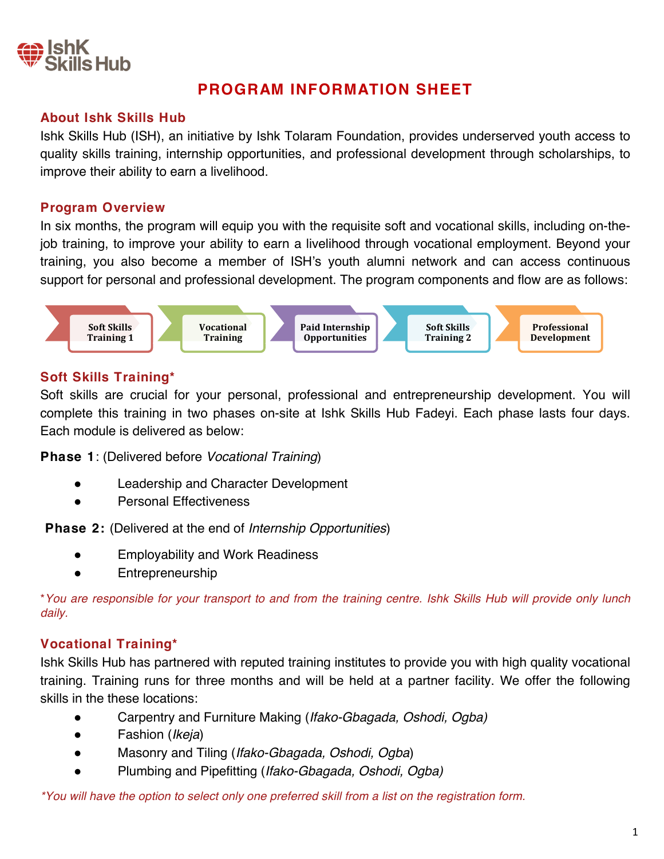

# **PROGRAM INFORMATION SHEET**

### **About Ishk Skills Hub**

Ishk Skills Hub (ISH), an initiative by Ishk Tolaram Foundation, provides underserved youth access to quality skills training, internship opportunities, and professional development through scholarships, to improve their ability to earn a livelihood.

### **Program Overview**

In six months, the program will equip you with the requisite soft and vocational skills, including on-thejob training, to improve your ability to earn a livelihood through vocational employment. Beyond your training, you also become a member of ISH's youth alumni network and can access continuous support for personal and professional development. The program components and flow are as follows:



### **Soft Skills Training\***

Soft skills are crucial for your personal, professional and entrepreneurship development. You will complete this training in two phases on-site at Ishk Skills Hub Fadeyi. Each phase lasts four days. Each module is delivered as below:

**Phase 1**: (Delivered before *Vocational Training*)

- Leadership and Character Development
- **Personal Effectiveness**

**Phase 2:** (Delivered at the end of *Internship Opportunities*)

- **Employability and Work Readiness**
- **Entrepreneurship**

\**You are responsible for your transport to and from the training centre. Ishk Skills Hub will provide only lunch daily.*

# **Vocational Training\***

Ishk Skills Hub has partnered with reputed training institutes to provide you with high quality vocational training. Training runs for three months and will be held at a partner facility. We offer the following skills in the these locations:

- Carpentry and Furniture Making (*Ifako*-*Gbagada, Oshodi*, Ogba*)*
- Fashion (*Ikeja*)
- Masonry and Tiling (*Ifako-Gbagada, Oshodi, Ogba*)
- Plumbing and Pipefitting (*Ifako*-*Gbagada*, *Oshodi*, Ogba*)*

*\*You will have the option to select only one preferred skill from a list on the registration form.*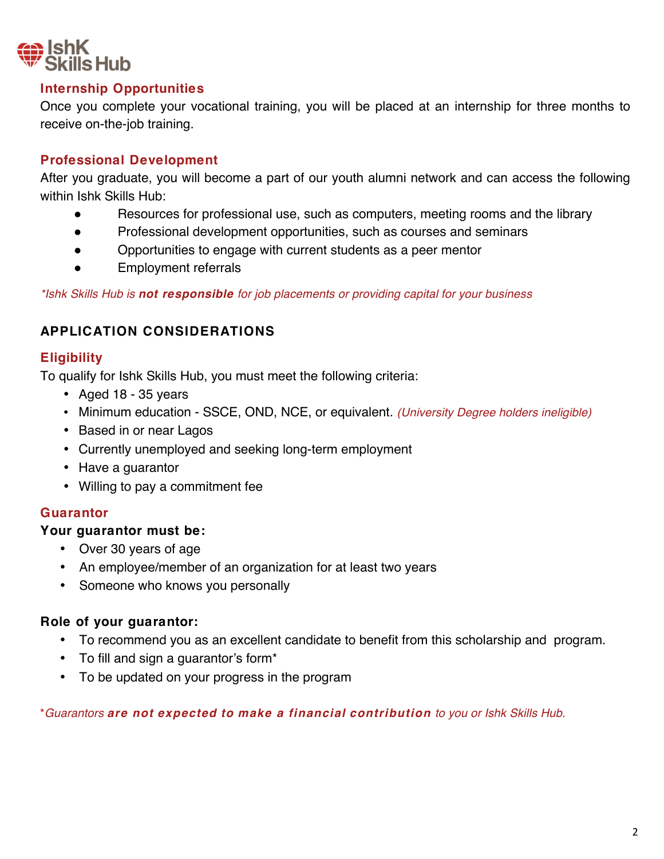

# **Internship Opportunities**

Once you complete your vocational training, you will be placed at an internship for three months to receive on-the-job training.

# **Professional Development**

After you graduate, you will become a part of our youth alumni network and can access the following within Ishk Skills Hub:

- Resources for professional use, such as computers, meeting rooms and the library
- Professional development opportunities, such as courses and seminars
- Opportunities to engage with current students as a peer mentor
- Employment referrals

*\*Ishk Skills Hub is not responsible for job placements or providing capital for your business*

# **APPLICATION CONSIDERATIONS**

# **Eligibility**

To qualify for Ishk Skills Hub, you must meet the following criteria:

- Aged 18 35 years
- Minimum education SSCE, OND, NCE, or equivalent. *(University Degree holders ineligible)*
- Based in or near Lagos
- Currently unemployed and seeking long-term employment
- Have a guarantor
- Willing to pay a commitment fee

# **Guarantor**

### **Your guarantor must be:**

- Over 30 years of age
- An employee/member of an organization for at least two years
- Someone who knows you personally

# **Role of your guarantor:**

- To recommend you as an excellent candidate to benefit from this scholarship and program.
- To fill and sign a guarantor's form\*
- To be updated on your progress in the program

\**Guarantors are not expected to make a financial contribution to you or Ishk Skills Hub.*